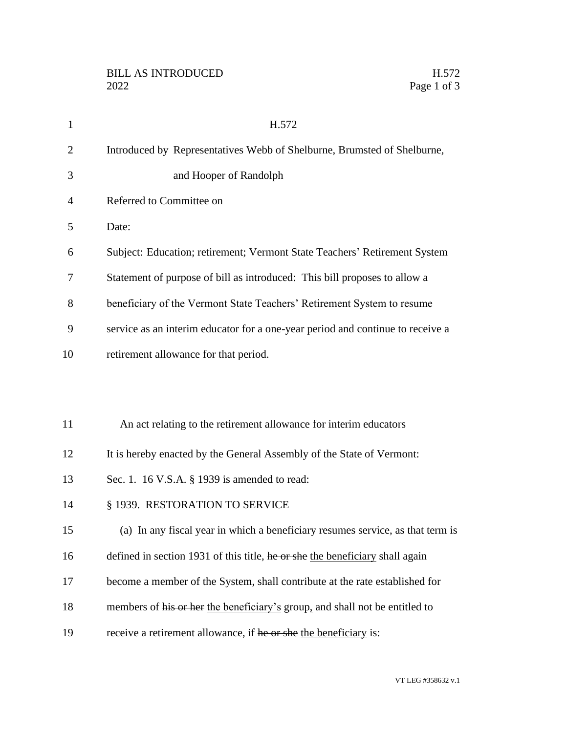| $\mathbf{1}$   | H.572                                                                          |
|----------------|--------------------------------------------------------------------------------|
| $\overline{2}$ | Introduced by Representatives Webb of Shelburne, Brumsted of Shelburne,        |
| 3              | and Hooper of Randolph                                                         |
| 4              | Referred to Committee on                                                       |
| 5              | Date:                                                                          |
| 6              | Subject: Education; retirement; Vermont State Teachers' Retirement System      |
| 7              | Statement of purpose of bill as introduced: This bill proposes to allow a      |
| 8              | beneficiary of the Vermont State Teachers' Retirement System to resume         |
| 9              | service as an interim educator for a one-year period and continue to receive a |
| 10             | retirement allowance for that period.                                          |
|                |                                                                                |
|                |                                                                                |
| 11             | An act relating to the retirement allowance for interim educators              |
| 12             | It is hereby enacted by the General Assembly of the State of Vermont:          |
| 13             | Sec. 1. 16 V.S.A. § 1939 is amended to read:                                   |
| 14             | § 1939. RESTORATION TO SERVICE                                                 |
| 15             | (a) In any fiscal year in which a beneficiary resumes service, as that term is |
| 16             | defined in section 1931 of this title, he or she the beneficiary shall again   |
| 17             | become a member of the System, shall contribute at the rate established for    |
| 18             | members of his or her the beneficiary's group, and shall not be entitled to    |
| 19             | receive a retirement allowance, if he or she the beneficiary is:               |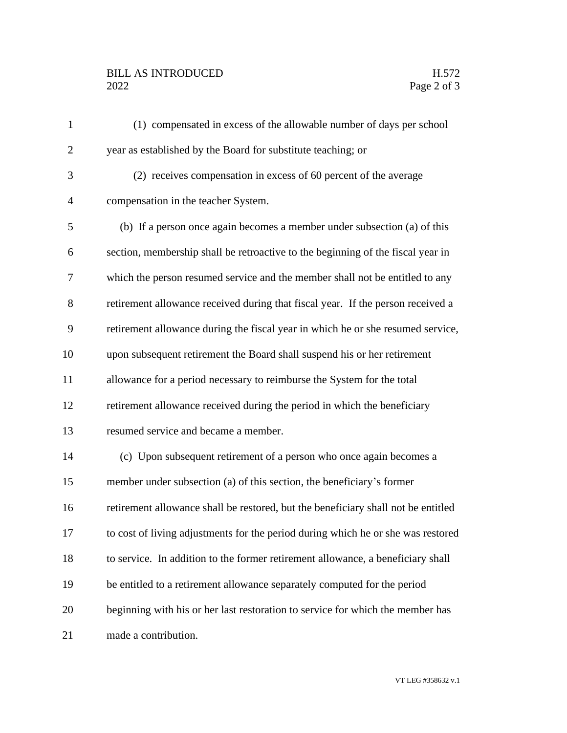## BILL AS INTRODUCED H.572<br>2022 Page 2 of 3

| $\mathbf{1}$   | (1) compensated in excess of the allowable number of days per school              |
|----------------|-----------------------------------------------------------------------------------|
| $\overline{c}$ | year as established by the Board for substitute teaching; or                      |
| 3              | (2) receives compensation in excess of 60 percent of the average                  |
| $\overline{4}$ | compensation in the teacher System.                                               |
| 5              | (b) If a person once again becomes a member under subsection (a) of this          |
| 6              | section, membership shall be retroactive to the beginning of the fiscal year in   |
| 7              | which the person resumed service and the member shall not be entitled to any      |
| 8              | retirement allowance received during that fiscal year. If the person received a   |
| 9              | retirement allowance during the fiscal year in which he or she resumed service,   |
| 10             | upon subsequent retirement the Board shall suspend his or her retirement          |
| 11             | allowance for a period necessary to reimburse the System for the total            |
| 12             | retirement allowance received during the period in which the beneficiary          |
| 13             | resumed service and became a member.                                              |
| 14             | (c) Upon subsequent retirement of a person who once again becomes a               |
| 15             | member under subsection (a) of this section, the beneficiary's former             |
| 16             | retirement allowance shall be restored, but the beneficiary shall not be entitled |
| 17             | to cost of living adjustments for the period during which he or she was restored  |
| 18             | to service. In addition to the former retirement allowance, a beneficiary shall   |
| 19             | be entitled to a retirement allowance separately computed for the period          |
| 20             | beginning with his or her last restoration to service for which the member has    |
| 21             | made a contribution.                                                              |